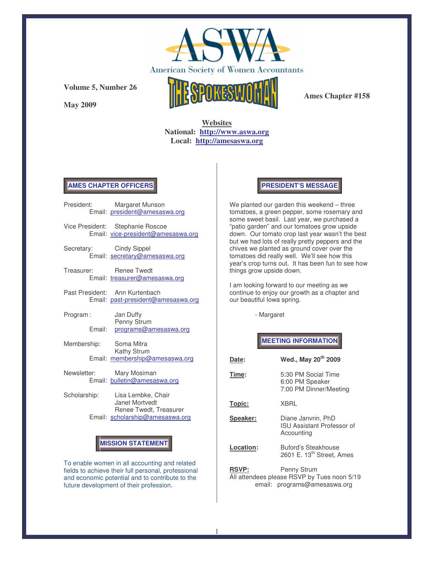

**May 2009**



**Ames Chapter #158**

## **Websites National: http://www.aswa.org Local: http://amesaswa.org**

### **AMES CHAPTER OFFICERS**

|                         | President: Margaret Munson<br>Email: president@amesaswa.org            |  |
|-------------------------|------------------------------------------------------------------------|--|
|                         | Vice President: Stephanie Roscoe<br>Email: vice-president@amesaswa.org |  |
| Secretary: Cindy Sippel | Email: secretary@amesaswa.org                                          |  |
| Treasurer: Renee Twedt  | Email: treasurer@amesaswa.org                                          |  |
|                         | Past President: Ann Kurtenbach<br>Email: past-president@amesaswa.org   |  |
| Program:<br>Fmail:      | Jan Duffy<br>Penny Strum<br>programs@amesaswa.org                      |  |
| Membership: Soma Mitra  | Kathy Strum<br>Email: membership@amesaswa.org                          |  |
|                         | Newsletter: Mary Mosiman<br>Email: bulletin@amesaswa.org               |  |
| Scholarship:            | Lisa Lembke, Chair<br>Janet Mortvedt<br>Renee Twedt, Treasurer         |  |
|                         | Email: scholarship@amesaswa.org                                        |  |

# **MISSION STATEMENT**

To enable women in all accounting and related fields to achieve their full personal, professional and economic potential and to contribute to the future development of their profession.

#### **PRESIDENT'S MESSAGE**

We planted our garden this weekend – three tomatoes, a green pepper, some rosemary and some sweet basil. Last year, we purchased a "patio garden" and our tomatoes grow upside down. Our tomato crop last year wasn't the best but we had lots of really pretty peppers and the chives we planted as ground cover over the tomatoes did really well. We'll see how this year's crop turns out. It has been fun to see how things grow upside down.

I am looking forward to our meeting as we continue to enjoy our growth as a chapter and our beautiful Iowa spring.

- Margaret

# **MEETING INFORMATION**

| Date:        | Wed., May 20 <sup>th</sup> 2009                                                            |  |
|--------------|--------------------------------------------------------------------------------------------|--|
| Time:        | 5:30 PM Social Time<br>6:00 PM Speaker<br>7:00 PM Dinner/Meeting                           |  |
| Topic:       | XBRL                                                                                       |  |
| Speaker:     | Diane Janvrin, PhD<br><b>ISU Assistant Professor of</b><br>Accounting                      |  |
| Location:    | Buford's Steakhouse<br>2601 E. 13 <sup>th</sup> Street, Ames                               |  |
| <b>RSVP:</b> | Penny Strum<br>All attendees please RSVP by Tues noon 5/19<br>email: programs@amesaswa.org |  |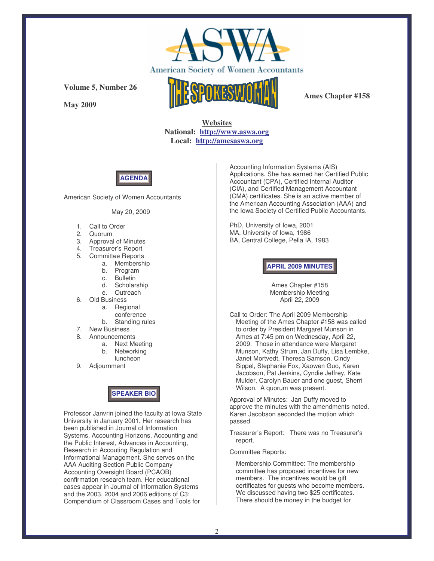

**May 2009**



**Ames Chapter #158**

**Websites National: http://www.aswa.org Local: http://amesaswa.org**



American Society of Women Accountants

May 20, 2009

- 1. Call to Order
- 2. Quorum
- 3. Approval of Minutes
- 4. Treasurer's Report
- 5. Committee Reports
	- a. Membership
	- b. Program
	- c. Bulletin
	- d. Scholarship
	- e. Outreach
- 6. Old Business
	- a. Regional
	- conference
	- b. Standing rules
- 7. New Business
- 8. Announcements
	- a. Next Meeting
	- b. Networking luncheon
- 9. Adjournment

# **SPEAKER BIO**

Professor Janvrin joined the faculty at Iowa State University in January 2001. Her research has been published in Journal of Information Systems, Accounting Horizons, Accounting and the Public Interest, Advances in Accounting, Research in Accouting Regulation and Informational Management. She serves on the AAA Auditing Section Public Company Accounting Oversight Board (PCAOB) confirmation research team. Her educational cases appear in Journal of Information Systems and the 2003, 2004 and 2006 editions of C3: Compendium of Classroom Cases and Tools for

Accounting Information Systems (AIS) Applications. She has earned her Certified Public Accountant (CPA), Certified Internal Auditor (CIA), and Certified Management Accountant (CMA) certificates. She is an active member of the American Accounting Association (AAA) and the Iowa Society of Certified Public Accountants.

PhD, University of Iowa, 2001 MA, University of Iowa, 1986 BA, Central College, Pella IA, 1983

#### **APRIL 2009 MINUTES**

Ames Chapter #158 Membership Meeting April 22, 2009

Call to Order: The April 2009 Membership Meeting of the Ames Chapter #158 was called to order by President Margaret Munson in Ames at 7:45 pm on Wednesday, April 22, 2009. Those in attendance were Margaret Munson, Kathy Strum, Jan Duffy, Lisa Lembke, Janet Mortvedt, Theresa Samson, Cindy Sippel, Stephanie Fox, Xaowen Guo, Karen Jacobson, Pat Jenkins, Cyndie Jeffrey, Kate Mulder, Carolyn Bauer and one guest, Sherri Wilson. A quorum was present.

Approval of Minutes: Jan Duffy moved to approve the minutes with the amendments noted. Karen Jacobson seconded the motion which passed.

Treasurer's Report: There was no Treasurer's report.

Committee Reports:

Membership Committee: The membership committee has proposed incentives for new members. The incentives would be gift certificates for guests who become members. We discussed having two \$25 certificates. There should be money in the budget for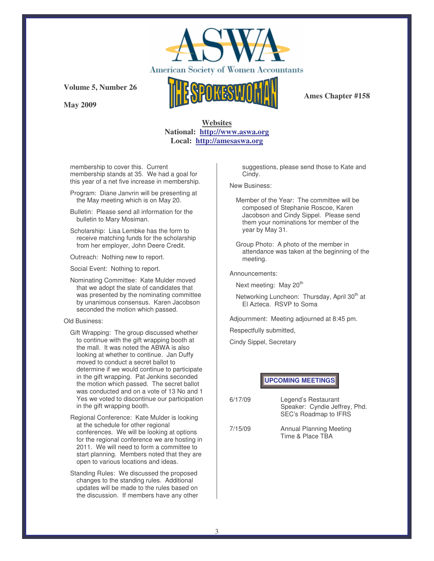

**May 2009**



**Ames Chapter #158**

## **Websites National: http://www.aswa.org Local: http://amesaswa.org**

membership to cover this. Current membership stands at 35. We had a goal for this year of a net five increase in membership.

Program: Diane Janvrin will be presenting at the May meeting which is on May 20.

- Bulletin: Please send all information for the bulletin to Mary Mosiman.
- Scholarship: Lisa Lembke has the form to receive matching funds for the scholarship from her employer, John Deere Credit.

Outreach: Nothing new to report.

Social Event: Nothing to report.

Nominating Committee: Kate Mulder moved that we adopt the slate of candidates that was presented by the nominating committee by unanimous consensus. Karen Jacobson seconded the motion which passed.

#### Old Business:

- Gift Wrapping: The group discussed whether to continue with the gift wrapping booth at the mall. It was noted the ABWA is also looking at whether to continue. Jan Duffy moved to conduct a secret ballot to determine if we would continue to participate in the gift wrapping. Pat Jenkins seconded the motion which passed. The secret ballot was conducted and on a vote of 13 No and 1 Yes we voted to discontinue our participation in the gift wrapping booth.
- Regional Conference: Kate Mulder is looking at the schedule for other regional conferences. We will be looking at options for the regional conference we are hosting in 2011. We will need to form a committee to start planning. Members noted that they are open to various locations and ideas.
- Standing Rules: We discussed the proposed changes to the standing rules. Additional updates will be made to the rules based on the discussion. If members have any other

suggestions, please send those to Kate and Cindy.

New Business:

- Member of the Year: The committee will be composed of Stephanie Roscoe, Karen Jacobson and Cindy Sippel. Please send them your nominations for member of the year by May 31.
- Group Photo: A photo of the member in attendance was taken at the beginning of the meeting.

Announcements:

Next meeting: May 20<sup>th</sup>

Networking Luncheon: Thursday, April 30<sup>th</sup> at El Azteca. RSVP to Soma

Adjournment: Meeting adjourned at 8:45 pm.

Respectfully submitted,

Cindy Sippel, Secretary

**UPCOMING MEETINGS**

| 6/17/09 | Legend's Restaurant           |
|---------|-------------------------------|
|         | Speaker: Cyndie Jeffrey, Phd. |
|         | SEC's Roadmap to IFRS         |

7/15/09 Annual Planning Meeting Time & Place TBA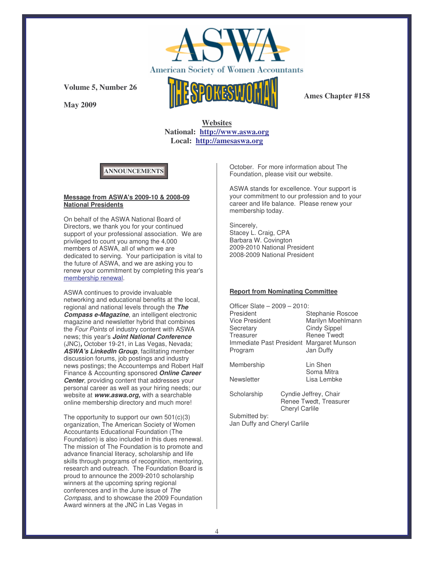

**May 2009**



**Ames Chapter #158**

**Websites National: http://www.aswa.org Local: http://amesaswa.org**

# **ANNOUNCEMENTS**

#### **Message from ASWA's 2009-10 & 2008-09 National Presidents**

On behalf of the ASWA National Board of Directors, we thank you for your continued support of your professional association. We are privileged to count you among the 4,000 members of ASWA, all of whom we are dedicated to serving. Your participation is vital to the future of ASWA, and we are asking you to renew your commitment by completing this year's membership renewal.

ASWA continues to provide invaluable networking and educational benefits at the local, regional and national levels through the *The Compass e-Magazine*, an intelligent electronic magazine and newsletter hybrid that combines the *Four Points* of industry content with ASWA news; this year's *Joint National Conference* (JNC)*,* October 19-21, in Las Vegas, Nevada; *ASWA's LinkedIn Group*, facilitating member discussion forums, job postings and industry news postings; the Accountemps and Robert Half Finance & Accounting sponsored *Online Career Center, providing content that addresses your* personal career as well as your hiring needs; our website at *www.aswa.org,* with a searchable online membership directory and much more!

The opportunity to support our own 501(c)(3) organization, The American Society of Women Accountants Educational Foundation (The Foundation) is also included in this dues renewal. The mission of The Foundation is to promote and advance financial literacy, scholarship and life skills through programs of recognition, mentoring, research and outreach. The Foundation Board is proud to announce the 2009-2010 scholarship winners at the upcoming spring regional conferences and in the June issue of *The Compass*, and to showcase the 2009 Foundation Award winners at the JNC in Las Vegas in

October. For more information about The Foundation, please visit our website.

ASWA stands for excellence. Your support is your commitment to our profession and to your career and life balance. Please renew your membership today.

Sincerely, Stacey L. Craig, CPA Barbara W. Covington 2009-2010 National President 2008-2009 National President

#### **Report from Nominating Committee**

| Officer Slate - 2009 - 2010:<br>President<br>Vice President<br>Secretary<br>Treasurer<br>Immediate Past President<br>Program |                                                                          | Stephanie Roscoe<br>Marilyn Moehlmann<br><b>Cindy Sippel</b><br><b>Renee Twedt</b><br>Margaret Munson<br>Jan Duffy |
|------------------------------------------------------------------------------------------------------------------------------|--------------------------------------------------------------------------|--------------------------------------------------------------------------------------------------------------------|
| Membership                                                                                                                   |                                                                          | Lin Shen<br>Soma Mitra<br>Lisa Lembke                                                                              |
| Newsletter                                                                                                                   |                                                                          |                                                                                                                    |
| Scholarship                                                                                                                  | Cyndie Jeffrey, Chair<br>Renee Twedt, Treasurer<br><b>Cheryl Carlile</b> |                                                                                                                    |
| Submitted by:<br>Jan Duffy and Cheryl Carlile                                                                                |                                                                          |                                                                                                                    |